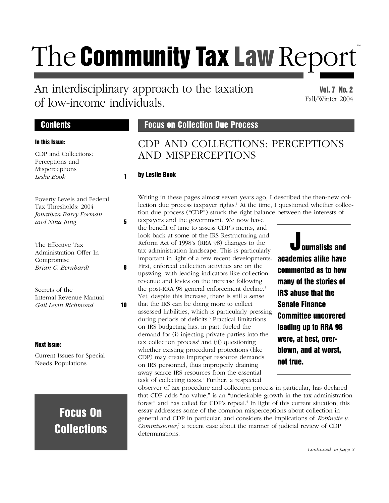# The Community Tax Law Report<sup>®</sup>

## An interdisciplinary approach to the taxation of low-income individuals.

#### Vol. 7 No. 2 Fall/Winter 2004

#### In this Issue:

| CDP and Collections:  |  |
|-----------------------|--|
| Perceptions and       |  |
| <b>Misperceptions</b> |  |
| <i>Leslie Book</i>    |  |
|                       |  |

| Poverty Levels and Federal |   |
|----------------------------|---|
| Tax Thresholds: 2004       |   |
| Jonathan Barry Forman      |   |
| and Nina Jung              | 5 |

| The Effective Tax       |   |
|-------------------------|---|
| Administration Offer In |   |
| Compromise              |   |
| Brian C. Bernhardt      | 8 |
|                         |   |

Secrets of the Internal Revenue Manual *Gail Levin Richmond* 10

#### Next Issue:

Current Issues for Special Needs Populations

## Focus On **Collections**

### Contents **Focus on Collection Due Process**

## CDP AND COLLECTIONS: PERCEPTIONS AND MISPERCEPTIONS

#### by Leslie Book

Writing in these pages almost seven years ago, I described the then-new collection due process taxpayer rights.<sup>1</sup> At the time, I questioned whether collection due process ("CDP") struck the right balance between the interests of

taxpayers and the government. We now have the benefit of time to assess CDP's merits, and look back at some of the IRS Restructuring and Reform Act of 1998's (RRA 98) changes to the tax administration landscape. This is particularly important in light of a few recent developments. First, enforced collection activities are on the upswing, with leading indicators like collection revenue and levies on the increase following the post-RRA 98 general enforcement decline.<sup>2</sup> Yet, despite this increase, there is still a sense that the IRS can be doing more to collect assessed liabilities, which is particularly pressing during periods of deficits.<sup>3</sup> Practical limitations on IRS budgeting has, in part, fueled the demand for (i) injecting private parties into the  $tax$  collection process $4$  and (ii) questioning whether existing procedural protections (like CDP) may create improper resource demands on IRS personnel, thus improperly draining away scarce IRS resources from the essential task of collecting taxes.<sup>5</sup> Further, a respected

Journalists and academics alike have commented as to how many of the stories of IRS abuse that the Senate Finance Committee uncovered leading up to RRA 98 were, at best, overblown, and at worst, not true.

observer of tax procedure and collection process in particular, has declared that CDP adds "no value," is an "undesirable growth in the tax administration forest" and has called for CDP's repeal.<sup>6</sup> In light of this current situation, this essay addresses some of the common misperceptions about collection in general and CDP in particular, and considers the implications of *Robinette v. Commissioner*, <sup>7</sup> a recent case about the manner of judicial review of CDP determinations.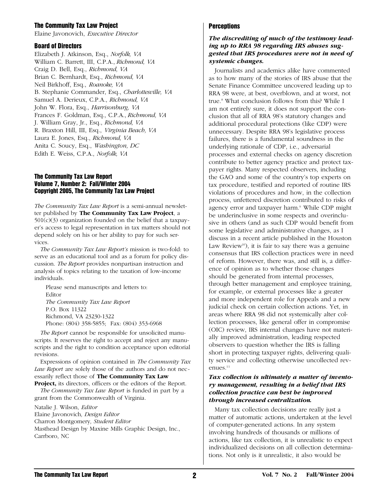#### The Community Tax Law Project

Elaine Javonovich, *Executive Director*

#### Board of Directors

Elizabeth J. Atkinson, Esq., *Norfolk, VA* William C. Barrett, III, C.P.A., *Richmond, VA* Craig D. Bell, Esq., *Richmond, VA* Brian C. Bernhardt, Esq., *Richmond, VA* Neil Birkhoff, Esq., *Roanoke, VA* B. Stephanie Commander, Esq., *Charlottesville, VA* Samuel A. Derieux, C.P.A., *Richmond, VA* John W. Flora, Esq., *Harrisonburg, VA* Frances F. Goldman, Esq., C.P.A., *Richmond, VA* J. William Gray, Jr., Esq., *Richmond, VA* R. Braxton Hill, III, Esq., *Virginia Beach, VA* Laura E. Jones, Esq., *Richmond, VA* Anita C. Soucy, Esq., *Washington, DC* Edith E. Weiss, C.P.A., *Norfolk, VA*

#### The Community Tax Law Report Volume 7, Number 2: Fall/Winter 2004 Copyright 2005, The Community Tax Law Project

*The Community Tax Law Report* is a semi-annual newsletter published by **The Community Tax Law Project**, a 501(c)(3) organization founded on the belief that a taxpayer's access to legal representation in tax matters should not depend solely on his or her ability to pay for such services.

*The Community Tax Law Report's* mission is two-fold: to serve as an educational tool and as a forum for policy discussion. *The Report* provides nonpartisan instruction and analysis of topics relating to the taxation of low-income individuals.

Please send manuscripts and letters to: Editor *The Community Tax Law Report* P.O. Box 11322 Richmond, VA 23230-1322 Phone: (804) 358-5855; Fax: (804) 353-6968

*The Report* cannot be responsible for unsolicited manuscripts. It reserves the right to accept and reject any manuscripts and the right to condition acceptance upon editorial revisions.

Expressions of opinion contained in *The Community Tax Law Report* are solely those of the authors and do not necessarily reflect those of **The Community Tax Law**

**Project,** its directors, officers or the editors of the Report. *The Community Tax Law Report* is funded in part by a

grant from the Commonwealth of Virginia.

Natalie J. Wilson, *Editor*

Elaine Javonovich*, Design Editor*

Charron Montgomery*, Student Editor*

Masthead Design by Maxine Mills Graphic Design, Inc., Carrboro, NC

#### **Perceptions**

#### *The discrediting of much of the testimony leading up to RRA 98 regarding IRS abuses suggested that IRS procedures were not in need of systemic changes.*

Journalists and academics alike have commented as to how many of the stories of IRS abuse that the Senate Finance Committee uncovered leading up to RRA 98 were, at best, overblown, and at worst, not true.<sup>8</sup> What conclusion follows from this? While I am not entirely sure, it does not support the conclusion that all of RRA 98's statutory changes and additional procedural protections (like CDP) were unnecessary. Despite RRA 98's legislative process failures, there is a fundamental soundness in the underlying rationale of CDP, i.e., adversarial processes and external checks on agency discretion contribute to better agency practice and protect taxpayer rights. Many respected observers, including the GAO and some of the country's top experts on tax procedure, testified and reported of routine IRS violations of procedures and how, in the collection process, unfettered discretion contributed to risks of agency error and taxpayer harm.<sup>9</sup> While CDP might be underinclusive in some respects and overinclusive in others (and as such CDP would benefit from some legislative and administrative changes, as I discuss in a recent article published in the Houston Law Review<sup>10</sup>), it is fair to say there was a genuine consensus that IRS collection practices were in need of reform. However, there was, and still is, a difference of opinion as to whether those changes should be generated from internal processes, through better management and employee training, for example, or external processes like a greater and more independent role for Appeals and a new judicial check on certain collection actions. Yet, in areas where RRA 98 did not systemically alter collection processes, like general offer in compromise (OIC) review, IRS internal changes have not materially improved administration, leading respected observers to question whether the IRS is falling short in protecting taxpayer rights, delivering quality service and collecting otherwise uncollected revenues.<sup>11</sup>

#### *Tax collection is ultimately a matter of inventory management, resulting in a belief that IRS collection practice can best be improved through increased centralization.*

Many tax collection decisions are really just a matter of automatic actions, undertaken at the level of computer-generated actions. In any system involving hundreds of thousands or millions of actions, like tax collection, it is unrealistic to expect individualized decisions on all collection determinations. Not only is it unrealistic, it also would be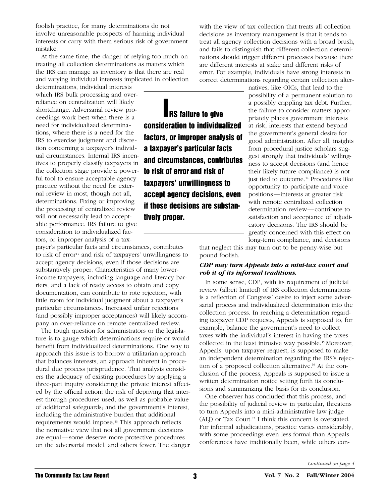foolish practice, for many determinations do not involve unreasonable prospects of harming individual interests or carry with them serious risk of government mistake.

At the same time, the danger of relying too much on treating all collection determinations as matters which the IRS can manage as inventory is that there are real and varying individual interests implicated in collection

determinations, individual interests which IRS bulk processing and overreliance on centralization will likely shortchange. Adversarial review proceedings work best when there is a need for individualized determinations, where there is a need for the IRS to exercise judgment and discretion concerning a taxpayer's individual circumstances. Internal IRS incentives to properly classify taxpayers in the collection stage provide a powerful tool to ensure acceptable agency practice without the need for external review in most, though not all, determinations. Fixing or improving the processing of centralized review will not necessarily lead to acceptable performance. IRS failure to give consideration to individualized factors, or improper analysis of a tax-

payer's particular facts and circumstances, contributes to risk of error<sup>12</sup> and risk of taxpayers' unwillingness to accept agency decisions, even if those decisions are substantively proper. Characteristics of many lowerincome taxpayers, including language and literacy barriers, and a lack of ready access to obtain and copy documentation, can contribute to rote rejection, with little room for individual judgment about a taxpayer's particular circumstances. Increased unfair rejections (and possibly improper acceptances) will likely accompany an over-reliance on remote centralized review.

The tough question for administrators or the legislature is to gauge which determinations require or would benefit from individualized determinations. One way to approach this issue is to borrow a utilitarian approach that balances interests, an approach inherent in procedural due process jurisprudence. That analysis considers the adequacy of existing procedures by applying a three-part inquiry considering the private interest affected by the official action; the risk of depriving that interest through procedures used, as well as probable value of additional safeguards; and the government's interest, including the administrative burden that additional requirements would impose.<sup>13</sup> This approach reflects the normative view that not all government decisions are equal—some deserve more protective procedures on the adversarial model, and others fewer. The danger

**RS** failure to give consideration to individualized factors, or improper analysis of a taxpayer's particular facts and circumstances, contributes to risk of error and risk of taxpayers' unwillingness to accept agency decisions, even if those decisions are substantively proper.

with the view of tax collection that treats all collection decisions as inventory management is that it tends to treat all agency collection decisions with a broad brush, and fails to distinguish that different collection determinations should trigger different processes because there are different interests at stake and different risks of error. For example, individuals have strong interests in correct determinations regarding certain collection alter-

natives, like OICs, that lead to the possibility of a permanent solution to a possibly crippling tax debt. Further, the failure to consider matters appropriately places government interests at risk, interests that extend beyond the government's general desire for good administration. After all, insights from procedural justice scholars suggest strongly that individuals' willingness to accept decisions (and hence their likely future compliance) is not just tied to outcome.<sup>14</sup> Procedures like opportunity to participate and voice positions—interests at greater risk with remote centralized collection determination review—contribute to satisfaction and acceptance of adjudicatory decisions. The IRS should be greatly concerned with this effect on long-term compliance, and decisions

that neglect this may turn out to be penny-wise but pound foolish.

#### *CDP may turn Appeals into a mini-tax court and rob it of its informal traditions.*

In some sense, CDP, with its requirement of judicial review (albeit limited) of IRS collection determinations is a reflection of Congress' desire to inject some adversarial process and individualized determination into the collection process. In reaching a determination regarding taxpayer CDP requests, Appeals is supposed to, for example, balance the government's need to collect taxes with the individual's interest in having the taxes collected in the least intrusive way possible.15 Moreover, Appeals, upon taxpayer request, is supposed to make an independent determination regarding the IRS's rejection of a proposed collection alternative.<sup>16</sup> At the conclusion of the process, Appeals is supposed to issue a written determination notice setting forth its conclusions and summarizing the basis for its conclusion.

One observer has concluded that this process, and the possibility of judicial review in particular, threatens to turn Appeals into a mini-administrative law judge (ALJ) or Tax Court.<sup>17</sup> I think this concern is overstated. For informal adjudications, practice varies considerably, with some proceedings even less formal than Appeals conferences have traditionally been, while others con-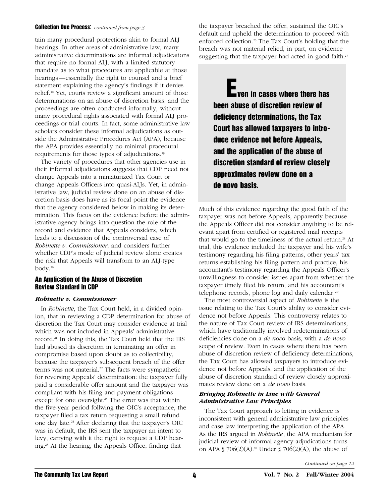#### Collection Due Process: *continued from page 3*

tain many procedural protections akin to formal ALJ hearings. In other areas of administrative law, many administrative determinations are informal adjudications that require no formal ALJ, with a limited statutory mandate as to what procedures are applicable at those hearings—essentially the right to counsel and a brief statement explaining the agency's findings if it denies relief.<sup>18</sup> Yet, courts review a significant amount of those determinations on an abuse of discretion basis, and the proceedings are often conducted informally, without many procedural rights associated with formal ALJ proceedings or trial courts. In fact, some administrative law scholars consider these informal adjudications as outside the Administrative Procedures Act (APA), because the APA provides essentially no minimal procedural requirements for those types of adjudications.<sup>19</sup>

The variety of procedures that other agencies use in their informal adjudications suggests that CDP need not change Appeals into a miniaturized Tax Court or change Appeals Officers into quasi-ALJs. Yet, in administrative law, judicial review done on an abuse of discretion basis does have as its focal point the evidence that the agency considered below in making its determination. This focus on the evidence before the administrative agency brings into question the role of the record and evidence that Appeals considers, which leads to a discussion of the controversial case of *Robinette v. Commissioner*, and considers further whether CDP's mode of judicial review alone creates the risk that Appeals will transform to an ALJ-type body.<sup>20</sup>

#### An Application of the Abuse of Discretion Review Standard in CDP

#### *Robinette v. Commissioner*

In *Robinette*, the Tax Court held, in a divided opinion, that in reviewing a CDP determination for abuse of discretion the Tax Court may consider evidence at trial which was not included in Appeals' administrative record.<sup>21</sup> In doing this, the Tax Court held that the IRS had abused its discretion in terminating an offer in compromise based upon doubt as to collectibility, because the taxpayer's subsequent breach of the offer terms was not material.<sup>22</sup> The facts were sympathetic for reversing Appeals' determination: the taxpayer fully paid a considerable offer amount and the taxpayer was compliant with his filing and payment obligations except for one oversight.<sup>23</sup> The error was that within the five-year period follwing the OIC's acceptance, the taxpayer filed a tax return requesting a small refund one day late.<sup>24</sup> After declaring that the taxpayer's OIC was in default, the IRS sent the taxpayer an intent to levy, carrying with it the right to request a CDP hearing.<sup>25</sup> At the hearing, the Appeals Office, finding that

the taxpayer breached the offer, sustained the OIC's default and upheld the determination to proceed with enforced collection.<sup>26</sup> The Tax Court's holding that the breach was not material relied, in part, on evidence suggesting that the taxpayer had acted in good faith.<sup>27</sup>

**E** ven in cases where there has been abuse of discretion review of deficiency determinations, the Tax Court has allowed taxpayers to introduce evidence not before Appeals, and the application of the abuse of discretion standard of review closely approximates review done on a de novo basis.

Much of this evidence regarding the good faith of the taxpayer was not before Appeals, apparently because the Appeals Officer did not consider anything to be relevant apart from certified or registered mail receipts that would go to the timeliness of the actual return.<sup>28</sup> At trial, this evidence included the taxpayer and his wife's testimony regarding his filing patterns, other years' tax returns establishing his filing pattern and practice, his accountant's testimony regarding the Appeals Officer's unwillingness to consider issues apart from whether the taxpayer timely filed his return, and his accountant's telephone records, phone log and daily calendar.<sup>29</sup>

The most controversial aspect of *Robinette* is the issue relating to the Tax Court's ability to consider evidence not before Appeals. This controversy relates to the nature of Tax Court review of IRS determinations, which have traditionally involved redeterminations of deficiencies done on a *de novo* basis, with a *de novo* scope of review. Even in cases where there has been abuse of discretion review of deficiency determinations, the Tax Court has allowed taxpayers to introduce evidence not before Appeals, and the application of the abuse of discretion standard of review closely approximates review done on a *de novo* basis.

#### *Bringing Robinette in Line with General Administrative Law Principles*

The Tax Court approach to letting in evidence is inconsistent with general administrative law principles and case law interpreting the application of the APA. As the IRS argued in *Robinette*, the APA mechanism for judicial review of informal agency adjudications turns on APA  $\sqrt{(2)}$  706(2)(A).<sup>30</sup> Under  $\sqrt{(2)}$  706(2)(A), the abuse of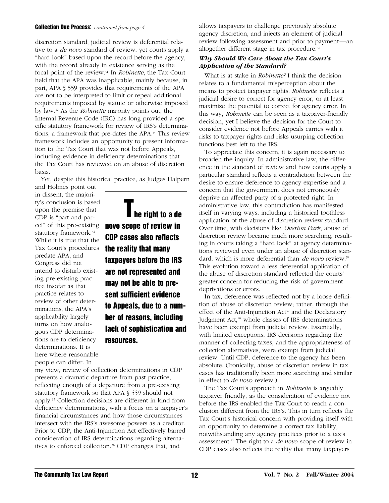#### Collection Due Process: *continued from page 4*

discretion standard, judicial review is deferential relative to a *de novo* standard of review, yet courts apply a "hard look" based upon the record before the agency, with the record already in existence serving as the focal point of the review.<sup>31</sup> In *Robinette*, the Tax Court held that the APA was inapplicable, mainly because, in part, APA § 559 provides that requirements of the APA are not to be interpreted to limit or repeal additional requirements imposed by statute or otherwise imposed by law.<sup>32</sup> As the *Robinette* majority points out, the Internal Revenue Code (IRC) has long provided a specific statutory framework for review of IRS's determinations, a framework that pre-dates the APA.<sup>33</sup> This review framework includes an opportunity to present information to the Tax Court that was not before Appeals, including evidence in deficiency determinations that the Tax Court has reviewed on an abuse of discretion basis.

Yet, despite this historical practice, as Judges Halpern

and Holmes point out in dissent, the majority's conclusion is based upon the premise that CDP is "part and parcel" of this pre-existing statutory framework.<sup>34</sup> While it is true that the Tax Court's procedures predate APA, and Congress did not intend to disturb existing pre-existing practice insofar as that practice relates to review of other determinations, the APA's applicability largely turns on how analogous CDP determinations are to deficiency determinations. It is here where reasonable people can differ. In

**The right to a de** novo scope of review in CDP cases also reflects the reality that many taxpayers before the IRS are not represented and may not be able to present sufficient evidence to Appeals, due to a number of reasons, including lack of sophistication and resources.

my view, review of collection determinations in CDP presents a dramatic departure from past practice, reflecting enough of a departure from a pre-existing statutory framework so that APA § 559 should not apply.<sup>35</sup> Collection decisions are different in kind from deficiency determinations, with a focus on a taxpayer's financial circumstances and how those circumstances intersect with the IRS's awesome powers as a creditor. Prior to CDP, the Anti-Injunction Act effectively barred consideration of IRS determinations regarding alternatives to enforced collection.<sup>36</sup> CDP changes that, and

allows taxpayers to challenge previously absolute agency discretion, and injects an element of judicial review following assessment and prior to payment—an altogether different stage in tax procedure.<sup>37</sup>

#### *Why Should We Care About the Tax Court's Application of the Standard?*

What is at stake in *Robinette?* I think the decision relates to a fundamental misperception about the means to protect taxpayer rights. *Robinette* reflects a judicial desire to correct for agency error, or at least maximize the potential to correct for agency error. In this way, *Robinette* can be seen as a taxpayer-friendly decision, yet I believe the decision for the Court to consider evidence not before Appeals carries with it risks to taxpayer rights and risks usurping collection functions best left to the IRS.

To appreciate this concern, it is again necessary to broaden the inquiry. In administrative law, the difference in the standard of review and how courts apply a particular standard reflects a contradiction between the desire to ensure deference to agency expertise and a concern that the government does not erroneously deprive an affected party of a protected right. In administrative law, this contradiction has manifested itself in varying ways, including a historical toothless application of the abuse of discretion review standard. Over time, with decisions like *Overton Park*, abuse of discretion review became much more searching, resulting in courts taking a "hard look" at agency determinations reviewed even under an abuse of discretion standard, which is more deferential than *de novo* review.<sup>38</sup> This evolution toward a less deferential application of the abuse of discretion standard reflected the courts' greater concern for reducing the risk of government deprivations or errors.

In tax, deference was reflected not by a loose definition of abuse of discretion review; rather, through the effect of the Anti-Injunction  $Act^{39}$  and the Declaratory Judgment Act,<sup>40</sup> whole classes of IRS determinations have been exempt from judicial review. Essentially, with limited exceptions, IRS decisions regarding the manner of collecting taxes, and the appropriateness of collection alternatives, were exempt from judicial review. Until CDP, deference to the agency has been absolute. (Ironically, abuse of discretion review in tax cases has traditionally been more searching and similar in effect to *de novo* review.)

The Tax Court's approach in *Robinette* is arguably taxpayer friendly, as the consideration of evidence not before the IRS enabled the Tax Court to reach a conclusion different from the IRS's. This in turn reflects the Tax Court's historical concern with providing itself with an opportunity to determine a correct tax liability, notwithstanding any agency practices prior to a tax's assessment.<sup>41</sup> The right to a *de novo* scope of review in CDP cases also reflects the reality that many taxpayers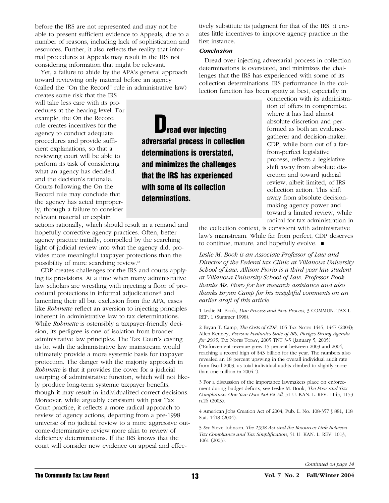before the IRS are not represented and may not be able to present sufficient evidence to Appeals, due to a number of reasons, including lack of sophistication and resources. Further, it also reflects the reality that informal procedures at Appeals may result in the IRS not considering information that might be relevant.

Yet, a failure to abide by the APA's general approach toward reviewing only material before an agency (called the "On the Record" rule in administrative law)

creates some risk that the IRS will take less care with its procedures at the hearing-level. For example, the On the Record rule creates incentives for the agency to conduct adequate procedures and provide sufficient explanations, so that a reviewing court will be able to perform its task of considering what an agency has decided, and the decision's rationale. Courts following the On the Record rule may conclude that the agency has acted improperly, through a failure to consider relevant material or explain

actions rationally, which should result in a remand and hopefully corrective agency practices. Often, better agency practice initially, compelled by the searching light of judicial review into what the agency did, provides more meaningful taxpayer protections than the possibility of more searching review.<sup>42</sup>

CDP creates challenges for the IRS and courts applying its provisions. At a time when many administrative law scholars are wrestling with injecting a floor of procedural protections in informal adjudications<sup>43</sup> and lamenting their all but exclusion from the APA, cases like *Robinette* reflect an aversion to injecting principles inherent in administrative law to tax determinations. While *Robinette* is ostensibly a taxpayer-friendly decision, its pedigree is one of isolation from broader administrative law principles. The Tax Court's casting its lot with the administrative law mainstream would ultimately provide a more systemic basis for taxpayer protection. The danger with the majority approach in *Robinette* is that it provides the cover for a judicial usurping of administrative function, which will not likely produce long-term systemic taxpayer benefits, though it may result in individualized correct decisions. Moreover, while arguably consistent with past Tax Court practice, it reflects a more radical approach to review of agency actions, departing from a pre-1998 universe of no judicial review to a more aggressive outcome-determinative review more akin to review of deficiency determinations. If the IRS knows that the court will consider new evidence on appeal and effectively substitute its judgment for that of the IRS, it creates little incentives to improve agency practice in the first instance.

#### *Conclusion*

Dread over injecting adversarial process in collection determinations is overstated, and minimizes the challenges that the IRS has experienced with some of its collection determinations. IRS performance in the collection function has been spotty at best, especially in

read over injecting adversarial process in collection determinations is overstated, and minimizes the challenges that the IRS has experienced with some of its collection determinations.

connection with its administration of offers in compromise, where it has had almost absolute discretion and performed as both an evidencegatherer and decision-maker. CDP, while born out of a farfrom-perfect legislative process, reflects a legislative shift away from absolute discretion and toward judicial review, albeit limited, of IRS collection action. This shift away from absolute decisionmaking agency power and toward a limited review, while radical for tax administration in

the collection context, is consistent with administrative law's mainstream. While far from perfect, CDP deserves to continue, mature, and hopefully evolve.  $\blacksquare$ 

*Leslie M. Book is an Associate Professor of Law and Director of the Federal tax Clinic at Villanova University School of Law. Allison Fiorio is a third year law student at Villanova University School of Law. Professor Book thanks Ms. Fioro for her research assistance and also thanks Bryan Camp for his insightful comments on an earlier draft of this article.* 

1 Leslie M. Book, *Due Process and New Process*, 3 COMMUN. TAX L. REP. 1 (Summer 1998).

2 Bryan T. Camp, *The Costs of CDP*, 105 TAX NOTES 1445, 1447 (2004); Allen Kenney, *Everson Evaluates State of IRS, Pledges Strong Agenda for 2005*, TAX NOTES TODAY, 2005 TNT 3-5 (January 5, 2005) ("Enforcement revenue grew 15 percent between 2003 and 2004, reaching a record high of \$43 billion for the year. The numbers also revealed an 18 percent upswing in the overall individual audit rate from fiscal 2003, as total individual audits climbed to slightly more than one million in 2004.").

3 For a discussion of the importance lawmakers place on enforcement during budget deficits, see Leslie M. Book, *The Poor and Tax Compliance: One Size Does Not Fit All*, 51 U. KAN. L. REV. 1145, 1153 n.26 (2003).

4 American Jobs Creation Act of 2004, Pub. L. No. 108-357 § 881, 118 Stat. 1418 (2004).

5 *See* Steve Johnson, *The 1998 Act and the Resources Link Between Tax Compliance and Tax Simplification*, 51 U. KAN. L. REV. 1013, 1061 (2003).

*Continued on page 14*